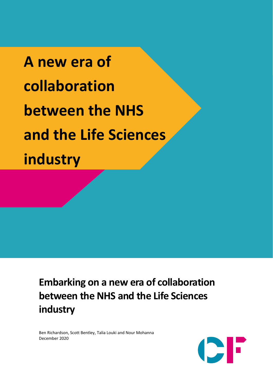**A new era of collaboration between the NHS and the Life Sciences industry**

> **Embarking on a new era of collaboration between the NHS and the Life Sciences industry**

Ben Richardson, Scott Bentley, Talia Louki and Nour Mohanna December 2020

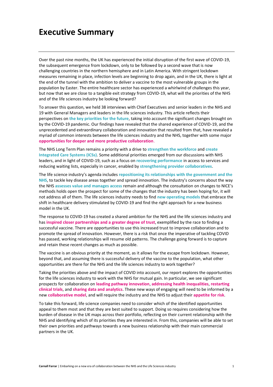## **Executive Summary**

Over the past nine months, the UK has experienced the initial disruption of the first wave of COVID-19, the subsequent emergence from lockdown, only to be followed by a second wave that is now challenging countries in the northern hemisphere and in Latin America. With stringent lockdown measures remaining in place, infection levels are beginning to drop again, and in the UK, there is light at the end of the tunnel with the ambition to deliver a vaccine to the most vulnerable groups in the population by Easter. The entire healthcare sector has experienced a whirlwind of challenges this year, but now that we are close to a tangible exit strategy from COVID-19, what will the priorities of the NHS and of the life sciences industry be looking forward?

To answer this question, we held 38 interviews with Chief Executives and senior leaders in the NHS and 19 with General Managers and leaders in the life sciences industry. This article reflects their perspectives on **the key priorities for the future**, taking into account the significant changes brought on by the COVID-19 pandemic. Our findings have revealed that the shared experience of COVID-19, and the unprecedented and extraordinary collaboration and innovation that resulted from that, have revealed a myriad of common interests between the life sciences industry and the NHS, together with some major **opportunities for deeper and more productive collaboration**.

The NHS Long Term Plan remains a priority with a drive to **strengthen the workforce** and **create Integrated Care Systems (ICSs)**. Some additional priorities emerged from our discussions with NHS leaders, and in light of COVID-19, such as a focus on **recovering performance** in access to services and reducing waiting lists, especially in cancer, enabled by **strengthening provider collaboratives**.

The life science industry's agenda includes **repositioning its relationships with the government and the NHS**, to tackle key disease areas together and spread innovation. The industry's concerns about the way the NHS **assesses value and manages access** remain and although the consultation on changes to NICE's methods holds open the prospect for some of the changes that the industry has been hoping for, it will not address all of them. The life sciences industry needs to find **new operating models** that embrace the shift in healthcare delivery stimulated by COVID-19 and find the right approach for a new business model in the UK.

The response to COVID-19 has created a shared ambition for the NHS and the life sciences industry and has **inspired closer partnerships and a greater degree of trust**, exemplified by the race to finding a successful vaccine. There are opportunities to use this increased trust to improve collaboration and to promote the spread of innovation. However, there is a risk that once the imperative of tackling COVID has passed, working relationships will resume old patterns. The challenge going forward is to capture and retain these recent changes as much as possible.

The vaccine is an obvious priority at the moment, as it allows for the escape from lockdown. However, beyond that, and assuming there is successful delivery of the vaccine to the population, what other opportunities are there for the NHS and the life sciences industry to work together?

Taking the priorities above and the impact of COVID into account, our report explores the opportunities for the life sciences industry to work with the NHS for mutual gain. In particular, we see significant prospects for collaboration on **leading pathway innovation**, **addressing health inequalities**, **restarting clinical trials**, and **sharing data and analytics**. These new ways of engaging will need to be informed by a new **collaborative model**, and will require the industry and the NHS to adjust their **appetite for risk**.

To take this forward, life science companies need to consider which of the identified opportunities appeal to them most and that they are best suited to support. Doing so requires considering how the burden of disease in the UK maps across their portfolio, reflecting on their current relationship with the NHS and identifying which of its priorities they are interested in. From this, companies will be able to set their own priorities and pathways towards a new business relationship with their main commercial partners in the UK.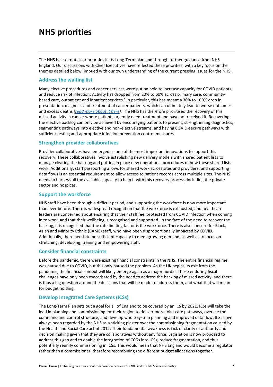# **NHS priorities**

The NHS has set out clear priorities in its Long-Term plan and through further guidance from NHS England. Our discussions with Chief Executives have reflected these priorities, with a key focus on the themes detailed below, imbued with our own understanding of the current pressing issues for the NHS.

## **Address the waiting list**

Many elective procedures and cancer services were put on hold to increase capacity for COVID patients and reduce risk of infection. Activity has dropped from 20% to 60% across primary care, communitybased care, outpatient and inpatient services.<sup>1</sup> In particular, this has meant a 30% to 100% drop in presentation, diagnosis and treatment of cancer patients, which can ultimately lead to worse outcomes and excess deaths *[\(read more about](https://www.carnallfarrar.com/life-sciences/life-sciences-insights/disruption-and-recovery-of-cancer-from-covid-19/) it here).* The NHS has therefore prioritised the recovery of this missed activity in cancer where patients urgently need treatment and have not received it. Recovering the elective backlog can only be achieved by encouraging patients to present, strengthening diagnostics, segmenting pathways into elective and non-elective streams, and having COVID-secure pathways with sufficient testing and appropriate infection prevention control measures.

### **Strengthen provider collaboratives**

Provider collaboratives have emerged as one of the most important innovations to support this recovery. These collaboratives involve establishing new delivery models with shared patient lists to manage clearing the backlog and putting in place new operational procedures of how these shared lists work. Additionally, staff passporting allows for shared work across sites and providers, and supporting data flows is an essential requirement to allow access to patient records across multiple sites. The NHS needs to harness all the available capacity to help it with this recovery process, including the private sector and hospices.

### **Support the workforce**

NHS staff have been through a difficult period, and supporting the workforce is now more important than ever before. There is widespread recognition that the workforce is exhausted, and healthcare leaders are concerned about ensuring that their staff feel protected from COVID infection when coming in to work, and that their wellbeing is recognised and supported. In the face of the need to recover the backlog, it is recognised that the rate limiting factor is the workforce. There is also concern for Black, Asian and Minority Ethnic (BAME) staff, who have been disproportionally impacted by COVID. Additionally, there needs to be sufficient capacity to meet growing demand, as well as to focus on stretching, developing, training and empowering staff.

## **Consider financial constraints**

Before the pandemic, there were existing financial constraints in the NHS. The entire financial regime was paused due to COVID, but this only paused the problem. As the UK begins its exit from the pandemic, the financial context will likely emerge again as a major hurdle. These enduring fiscal challenges have only been exacerbated by the need to address the backlog of missed activity, and there is thus a big question around the decisions that will be made to address them, and what that will mean for budget holding.

## **Develop Integrated Care Systems (ICSs)**

The Long-Term Plan sets out a goal for all of England to be covered by an ICS by 2021. ICSs will take the lead in planning and commissioning for their region to deliver more joint care pathways, oversee the command and control structure, and develop whole system planning and improved data flow. ICSs have always been regarded by the NHS as a sticking plaster over the commissioning fragmentation caused by the Health and Social Care act of 2012. Their fundamental weakness is lack of clarity of authority and decision making given that they are collaboratives without any force. Legislation is now proposed to address this gap and to enable the integration of CCGs into ICSs, reduce fragmentation, and thus potentially reunify commissioning in ICSs. This would mean that NHS England would become a regulator rather than a commissioner, therefore recombining the different budget allocations together.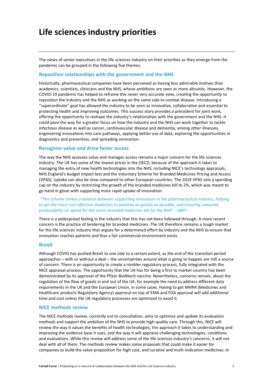# **Life sciences industry priorities**

The views of senior executives in the life sciences industry on their priorities as they emerge from the pandemic can be grouped in the following five themes.

### **Reposition relationships with the government and the NHS**

Historically, pharmaceutical companies have been perceived as having less admirable motives than academics, scientists, clinicians and the NHS, whose ambitions are seen as more altruistic. However, the COVID-19 pandemic has helped to reframe this never very accurate view, creating the opportunity to reposition the industry and the NHS as working on the same side to combat disease. Introducing a "superordinate" goal has allowed the industry to be seen as innovative, collaborative and essential to protecting health and improving outcomes. This success story provides a precedent for joint work, offering the opportunity to reshape the industry's relationships with the government and the NHS. It could pave the way for a greater focus on how the industry and the NHS can work together to tackle infectious disease as well as cancer, cardiovascular disease and dementia, among other illnesses, engineering innovations into care pathways, applying better use of data, exploring the opportunities in diagnostics and prevention, and spreading innovation.

### **Recognise value and drive faster access**

The way the NHS assesses value and manages access remains a major concern for the life sciences industry. The UK has some of the lowest prices in the OECD, because of the approach it takes to managing the entry of new health technologies into the NHS, including NICE's technology appraisals, NHS England's budget impact test and the Voluntary Scheme for Branded Medicines Pricing and Access (VPAS). Uptake can also be slow compared to other European countries. The 2019 VPAS sets a spending cap on the industry by restricting the growth of the branded medicines bill to 2%, which was meant to go hand in glove with supporting more rapid uptake of innovation:

*"This scheme strikes a balance between supporting innovation in the pharmaceutical industry, helping to get the most cost-effective medicines to patients as quickly as possible, and ensuring complete predictability on spend for the entire branded medicines bill for the NHS"* - ABPI<sup>2</sup>

There is a widespread feeling in the industry that this has not been followed through. A more recent concern is the practice of tendering for branded medicines. The UK therefore remains a tough market for the life sciences industry that argues for a determined effort by industry and the NHS to ensure that innovation reaches patients and that a fair commercial environment exists.

#### **Brexit**

Although COVID has pushed Brexit to one side to a certain extent, as the end of the transition period approaches – with or without a deal – the uncertainties around what is going to happen are still a source of concern. There is an opportunity to create a nimbler regulatory process, fully integrated with the NICE appraisal process. The opportunity that the UK has for being a first to market country has been demonstrated by its approval of the Pfizer-BioNtech vaccine. Nevertheless, concerns remain, about the regulation of the flow of goods in and out of the UK, for example the need to address different data requirements in the UK and the European Union, in some cases. Having to get MHRA (Medicines and Healthcare products Regulatory Agency) approval on top of EMA and FDA approval will add additional time and cost unless the UK regulatory processes are optimised to avoid it.

### **NICE methods review**

The NICE methods review, currently out to consultation, aims to optimise and update its evaluation methods and support the ambition of the NHS to provide high quality care. Through this, NICE will review the way it values the benefits of health technologies, the approach it takes to understanding and improving the evidence base it uses, and the way it will appraise challenging technologies, conditions and evaluations. While this review will address some of the life sciences industry's concerns, it will not deal with all of them. The methods review makes some proposals that could make it easier for companies to build the value proposition for high cost, and curative and multi-indication medicines. In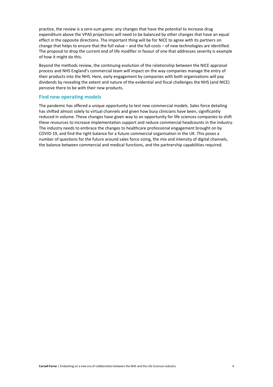practice, the review is a zero-sum game: any changes that have the potential to increase drug expenditure above the VPAS projections will need to be balanced by other changes that have an equal effect in the opposite directions. The important thing will be for NICE to agree with its partners on change that helps to ensure that the full value – and the full costs – of new technologies are identified. The proposal to drop the current end of life modifier in favour of one that addresses severity is example of how it might do this.

Beyond the methods review, the continuing evolution of the relationship between the NICE appraisal process and NHS England's commercial team will impact on the way companies manage the entry of their products into the NHS. Here, early engagement by companies with both organisations will pay dividends by revealing the extent and nature of the evidential and fiscal challenges the NHS (and NICE) perceive there to be with their new products.

### **Find new operating models**

The pandemic has offered a unique opportunity to test new commercial models. Sales force detailing has shifted almost solely to virtual channels and given how busy clinicians have been, significantly reduced in volume. These changes have given way to an opportunity for life sciences companies to shift these resources to increase implementation support and reduce commercial headcounts in the industry. The industry needs to embrace the changes to healthcare professional engagement brought on by COVID-19, and find the right balance for a future commercial organisation in the UK. This poses a number of questions for the future around sales force sizing, the mix and intensity of digital channels, the balance between commercial and medical functions, and the partnership capabilities required.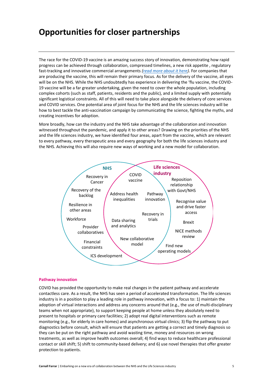# **Opportunities for closer partnerships**

The race for the COVID-19 vaccine is an amazing success story of innovation, demonstrating how rapid progress can be achieved through collaboration, compressed timelines, a new risk appetite , regulatory fast-tracking and innovative commercial arrangements *[\(read more about it here\)](https://www.carnallfarrar.com/articles/the-race-for-the-covid-19-vaccine-a-story-of-innovation-and-collaboration/)*. For companies that are producing the vaccine, this will remain their primary focus. As for the delivery of the vaccine, all eyes will be on the NHS. While the NHS undoubtedly has experience in delivering the 'flu vaccine, the COVID-19 vaccine will be a far greater undertaking, given the need to cover the whole population, including complex cohorts (such as staff, patients, residents and the public), and a limited supply with potentially significant logistical constraints. All of this will need to take place alongside the delivery of core services and COVID services. One potential area of joint focus for the NHS and the life sciences industry will be how to best tackle the anti-vaccination campaign by communicating the science, fighting the myths, and creating incentives for adoption.

More broadly, how can the industry and the NHS take advantage of the collaboration and innovation witnessed throughout the pandemic, and apply it to other areas? Drawing on the priorities of the NHS and the life sciences industry, we have identified four areas, apart from the vaccine, which are relevant to every pathway, every therapeutic area and every geography for both the life sciences industry and the NHS. Achieving this will also require new ways of working and a new model for collaboration.



#### **Pathway innovation**

COVID has provided the opportunity to make real changes in the patient pathway and accelerate contactless care. As a result, the NHS has seen a period of accelerated transformation. The life sciences industry is in a position to play a leading role in pathway innovation, with a focus to: 1) maintain the adoption of virtual interactions and address any concerns around that (e.g., the use of multi-disciplinary teams when not appropriate), to support keeping people at home unless they absolutely need to present to hospitals or primary care facilities; 2) adopt real digital interventions such as remote monitoring (e.g., for elderly in care homes) and asynchronous virtual clinics; 3) flip the pathway to put diagnostics before consult, which will ensure that patients are getting a correct and timely diagnosis so they can be put on the right pathway and avoid wasting time, money and resources on wrong treatments, as well as improve health outcomes overall; 4) find ways to reduce healthcare professional contact or skill shift; 5) shift to community-based delivery; and 6) use novel therapies that offer greater protection to patients.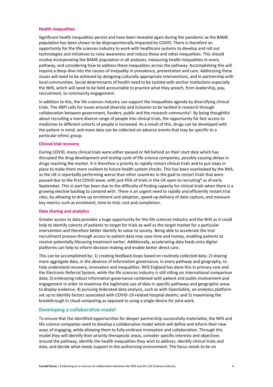#### **Health inequalities**

Significant health inequalities persist and have been revealed again during the pandemic as the BAME population has been shown to be disproportionally impacted by COVID. There is therefore an opportunity for the life sciences industry to work with healthcare systems to develop and roll out technologies and initiatives to raise awareness and reduce these and other inequalities. This should involve incorporating the BAME population in all analyses, measuring health inequalities in every pathway, and considering how to address these inequalities across the pathway. Accomplishing this will require a deep-dive into the causes of inequality in prevalence, presentation and care. Addressing these issues will need to be achieved by designing culturally appropriate interventions, and in partnership with local communities. Social determinants of health need to be tackled with anchor institutions especially the NHS, which will need to be held accountable to practice what they preach, from leadership, pay, recruitment, to community engagement.

In addition to this, the life sciences industry can support the inequalities agenda by diversifying clinical trials. The ABPI calls for issues around diversity and inclusion to be tackled in research through collaboration between government, funders, public and the research community<sup>3</sup>. By being thoughtful about recruiting a more diverse range of people into clinical trials, the opportunity for fast access to medicines to different cohorts of people is increased. As a result of this, drugs can be developed with the patient in mind, and more data can be collected on adverse events that may be specific to a particular ethnic group.

#### **Clinical trial recovery**

During COVID, many clinical trials were either paused or fell behind on their start date which has disrupted the drug development and testing cycle of life science companies, possibly causing delays in drugs reaching the market. It is therefore a priority to rapidly restart clinical trials and to put steps in place to make them more resilient to future health system shocks. This has been overlooked by the NHS, as the UK is reportedly performing worse than other countries in the goal to restart trials that were paused due to the first COVID wave, with just 45% of trials in the UK open to recruiting<sup>4</sup> as of early September. This in part has been due to the difficulty of finding capacity for clinical trials when there is a growing elective backlog to contend with. There is an urgent need to rapidly and efficiently restart trial sites, by allowing to drive up enrolment and adoption, speed-up delivery of data capture, and measure key metrics such as enrolment, time to trial, cost and completion.

#### **Data sharing and analytics**

Greater access to data provides a huge opportunity for the life sciences industry and the NHS as it could help to identify cohorts of patients to target for trials as well as the target market for a particular intervention and therefore better identify its value to society. Being able to accelerate the trial recruitment process through access to patient data may save time and money, enabling patients to receive potentially lifesaving treatment earlier. Additionally, accelerating data feeds onto digital platforms can help to inform decision making and enable better direct care.

This can be accomplished by: 1) creating feedback loops based on routinely collected data; 2) sharing more aggregate data, in the absence of information governance, in every pathway and geography, to help understand recovery, innovation and inequalities. NHS England has done this in primary care and the Electronic Referral System, while the life sciences industry is still sitting on international comparison data; 3) embracing robust information governance combined with patient and public involvement and engagement in order to maximise the legitimate use of data in specific pathways and geographic areas to display evidence; 4) pursuing federated data analysis, such as with OpenSafely, an analytics platform set up to identify factors associated with COVID-19-related hospital deaths; and 5) maximising the breakthrough in cloud computing as opposed to using a single device for joint work.

### **Developing a collaborative model**

To ensure that the identified opportunities for deeper partnership successfully materialise, the NHS and life science companies need to develop a collaborative model which will define and inform their new ways of engaging, while allowing them to fully embrace innovation and collaboration. Through this model they will identify their priority therapeutic areas, consider specific interests and objectives around the pathway, identify the health inequalities they wish to address, identify clinical trials and data, and decide what needs support in the authorising environment. The focus needs to be on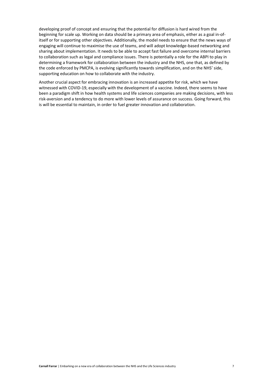developing proof of concept and ensuring that the potential for diffusion is hard wired from the beginning for scale up. Working on data should be a primary area of emphasis, either as a goal in-ofitself or for supporting other objectives. Additionally, the model needs to ensure that the news ways of engaging will continue to maximise the use of teams, and will adopt knowledge-based networking and sharing about implementation. It needs to be able to accept fast failure and overcome internal barriers to collaboration such as legal and compliance issues. There is potentially a role for the ABPI to play in determining a framework for collaboration between the industry and the NHS, one that, as defined by the code enforced by PMCPA, is evolving significantly towards simplification, and on the NHS' side, supporting education on how to collaborate with the industry.

Another crucial aspect for embracing innovation is an increased appetite for risk, which we have witnessed with COVID-19, especially with the development of a vaccine. Indeed, there seems to have been a paradigm shift in how health systems and life sciences companies are making decisions, with less risk-aversion and a tendency to do more with lower levels of assurance on success. Going forward, this is will be essential to maintain, in order to fuel greater innovation and collaboration.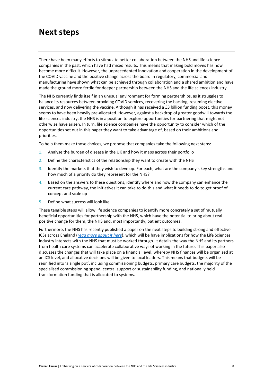## **Next steps**

There have been many efforts to stimulate better collaboration between the NHS and life science companies in the past, which have had mixed results. This means that making bold moves has now become more difficult. However, the unprecedented innovation and cooperation in the development of the COVID vaccine and the positive change across the board in regulatory, commercial and manufacturing have shown what can be achieved through collaboration and a shared ambition and have made the ground more fertile for deeper partnership between the NHS and the life sciences industry.

The NHS currently finds itself in an unusual environment for forming partnerships, as it struggles to balance its resources between providing COVID services, recovering the backlog, resuming elective services, and now delivering the vaccine. Although it has received a £3 billion funding boost, this money seems to have been heavily pre-allocated. However, against a backdrop of greater goodwill towards the life sciences industry, the NHS is in a position to explore opportunities for partnering that might not otherwise have arisen. In turn, life science companies have the opportunity to consider which of the opportunities set out in this paper they want to take advantage of, based on their ambitions and priorities.

To help them make those choices, we propose that companies take the following next steps:

- 1. Analyse the burden of disease in the UK and how it maps across their portfolio
- 2. Define the characteristics of the relationship they want to create with the NHS
- 3. Identify the markets that they wish to develop. For each, what are the company's key strengths and how much of a priority do they represent for the NHS?
- 4. Based on the answers to these questions, identify where and how the company can enhance the current care pathway, the initiatives it can take to do this and what it needs to do to get proof of concept and scale up
- 5. Define what success will look like

These tangible steps will allow life science companies to identify more concretely a set of mutually beneficial opportunities for partnership with the NHS, which have the potential to bring about real positive change for them, the NHS and, most importantly, patient outcomes.

Furthermore, the NHS has recently published a paper on the next steps to building strong and effective ICSs across England (*[read more about it](https://www.england.nhs.uk/wp-content/uploads/2020/11/261120-item-5-integrating-care-next-steps-for-integrated-care-systems.pdf) here*), which will be have implications for how the Life Sciences industry interacts with the NHS that must be worked through. It details the way the NHS and its partners from health care systems can accelerate collaborative ways of working in the future. This paper also discusses the changes that will take place on a financial level, whereby NHS finances will be organised at an ICS level, and allocative decisions will be given to local leaders. This means that budgets will be reunified into 'a single pot', including commissioning budgets, primary care budgets, the majority of the specialised commissioning spend, central support or sustainability funding, and nationally held transformation funding that is allocated to systems.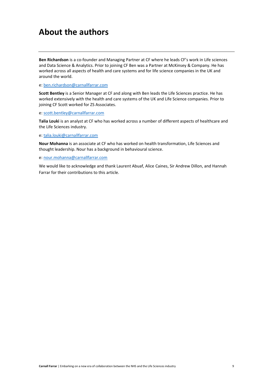# **About the authors**

**Ben Richardson** is a co-founder and Managing Partner at CF where he leads CF's work in Life sciences and Data Science & Analytics. Prior to joining CF Ben was a Partner at McKinsey & Company. He has worked across all aspects of health and care systems and for life science companies in the UK and around the world.

e: [ben.richardson@carnallfarrar.com](mailto:ben.richardson@carnallfarrar.com)

**Scott Bentley** is a Senior Manager at CF and along with Ben leads the Life Sciences practice. He has worked extensively with the health and care systems of the UK and Life Science companies. Prior to joining CF Scott worked for ZS Associates.

e: [scott.bentley@carnallfarrar.com](mailto:scott.bentley@carnallfarrar.com)

**Talia Louki** is an analyst at CF who has worked across a number of different aspects of healthcare and the Life Sciences industry.

e: [talia.louki@carnallfarrar.com](mailto:talia.louki@carnallfarrar.com)

**Nour Mohanna** is an associate at CF who has worked on health transformation, Life Sciences and thought leadership. Nour has a background in behavioural science.

e: [nour.mohanna@carnallfarrar.com](mailto:nour.mohanna@carnallfarrar.com)

We would like to acknowledge and thank Laurent Abuaf, Alice Caines, Sir Andrew Dillon, and Hannah Farrar for their contributions to this article.